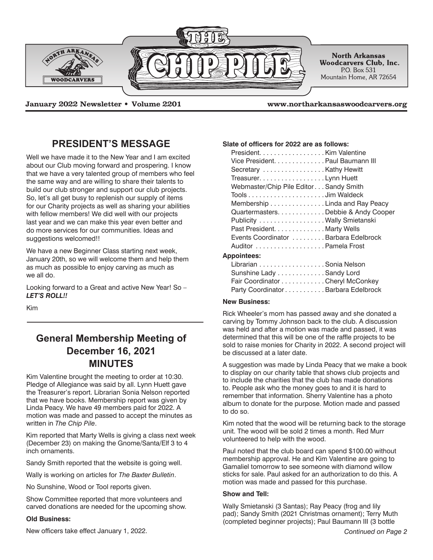

**January 2022 Newsletter • Volume 2201 www.northarkansaswoodcarvers.org**

## **PRESIDENT'S MESSAGE**

Well we have made it to the New Year and I am excited about our Club moving forward and prospering. I know that we have a very talented group of members who feel the same way and are willing to share their talents to build our club stronger and support our club projects. So, let's all get busy to replenish our supply of items for our Charity projects as well as sharing your abilities with fellow members! We did well with our projects last year and we can make this year even better and do more services for our communities. Ideas and suggestions welcomed!!

We have a new Beginner Class starting next week, January 20th, so we will welcome them and help them as much as possible to enjoy carving as much as we all do.

Looking forward to a Great and active New Year! So – *LET'S ROLL!!*

Kim

# **General Membership Meeting of December 16, 2021 MINUTES**

Kim Valentine brought the meeting to order at 10:30. Pledge of Allegiance was said by all. Lynn Huett gave the Treasurer's report. Librarian Sonia Nelson reported that we have books. Membership report was given by Linda Peacy. We have 49 members paid for 2022. A motion was made and passed to accept the minutes as written in *The Chip Pile*.

Kim reported that Marty Wells is giving a class next week (December 23) on making the Gnome/Santa/Elf 3 to 4 inch ornaments.

Sandy Smith reported that the website is going well.

Wally is working on articles for *The Baxter Bulletin*.

No Sunshine, Wood or Tool reports given.

Show Committee reported that more volunteers and carved donations are needed for the upcoming show.

## **Old Business:**

New officers take effect January 1, 2022. *Continued on Page 2*

### **Slate of officers for 2022 are as follows:**

| President. Kim Valentine               |  |
|----------------------------------------|--|
| Vice President. Paul Baumann III       |  |
| Secretary Kathy Hewitt                 |  |
| Treasurer. Lynn Huett                  |  |
| Webmaster/Chip Pile Editor Sandy Smith |  |
|                                        |  |
| Membership Linda and Ray Peacy         |  |
| Quartermasters. Debbie & Andy Cooper   |  |
| Publicity Wally Smietanski             |  |
| Past President. Marty Wells            |  |
| Events Coordinator Barbara Edelbrock   |  |
|                                        |  |
|                                        |  |

## **Appointees:**

| Librarian Sonia Nelson              |  |
|-------------------------------------|--|
| Sunshine Lady Sandy Lord            |  |
| Fair Coordinator Cheryl McConkey    |  |
| Party Coordinator Barbara Edelbrock |  |

## **New Business:**

Rick Wheeler's mom has passed away and she donated a carving by Tommy Johnson back to the club. A discussion was held and after a motion was made and passed, it was determined that this will be one of the raffle projects to be sold to raise monies for Charity in 2022. A second project will be discussed at a later date.

A suggestion was made by Linda Peacy that we make a book to display on our charity table that shows club projects and to include the charities that the club has made donations to. People ask who the money goes to and it is hard to remember that information. Sherry Valentine has a photo album to donate for the purpose. Motion made and passed to do so.

Kim noted that the wood will be returning back to the storage unit. The wood will be sold 2 times a month. Red Murr volunteered to help with the wood.

Paul noted that the club board can spend \$100.00 without membership approval. He and Kim Valentine are going to Gamaliel tomorrow to see someone with diamond willow sticks for sale. Paul asked for an authorization to do this. A motion was made and passed for this purchase.

#### **Show and Tell:**

Wally Smietanski (3 Santas); Ray Peacy (frog and lily pad); Sandy Smith (2021 Christmas ornament); Terry Muth (completed beginner projects); Paul Baumann III (3 bottle